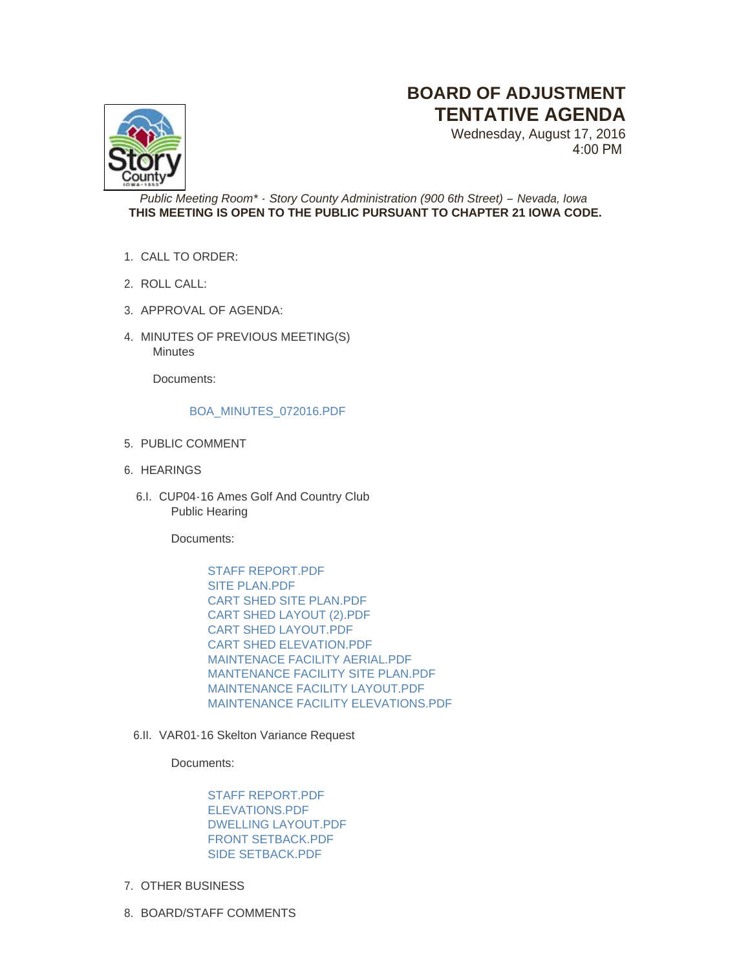## **BOARD OF ADJUSTMENT TENTATIVE AGENDA**

Wednesday, August 17, 2016 4:00 PM



*Public Meeting Room\* - Story County Administration (900 6th Street) – Nevada, Iowa* **THIS MEETING IS OPEN TO THE PUBLIC PURSUANT TO CHAPTER 21 IOWA CODE.**

- CALL TO ORDER: 1.
- ROLL CALL: 2.
- 3. APPROVAL OF AGENDA:
- 4. MINUTES OF PREVIOUS MEETING(S) **Minutes**

Documents:

## [BOA\\_MINUTES\\_072016.PDF](http://www.storycountyiowa.gov/AgendaCenter/ViewFile/Item/7595?fileID=5189)

- 5. PUBLIC COMMENT
- 6. HEARINGS
	- 6.I. CUP04-16 Ames Golf And Country Club Public Hearing

Documents:

[STAFF REPORT.PDF](http://www.storycountyiowa.gov/AgendaCenter/ViewFile/Item/7594?fileID=5188) [SITE PLAN.PDF](http://www.storycountyiowa.gov/AgendaCenter/ViewFile/Item/7594?fileID=5179) [CART SHED SITE PLAN.PDF](http://www.storycountyiowa.gov/AgendaCenter/ViewFile/Item/7594?fileID=5186) [CART SHED LAYOUT \(2\).PDF](http://www.storycountyiowa.gov/AgendaCenter/ViewFile/Item/7594?fileID=5182) [CART SHED LAYOUT.PDF](http://www.storycountyiowa.gov/AgendaCenter/ViewFile/Item/7594?fileID=5181) [CART SHED ELEVATION.PDF](http://www.storycountyiowa.gov/AgendaCenter/ViewFile/Item/7594?fileID=5180) [MAINTENACE FACILITY AERIAL.PDF](http://www.storycountyiowa.gov/AgendaCenter/ViewFile/Item/7594?fileID=5185) [MANTENANCE FACILITY SITE PLAN.PDF](http://www.storycountyiowa.gov/AgendaCenter/ViewFile/Item/7594?fileID=5184) [MAINTENANCE FACILITY LAYOUT.PDF](http://www.storycountyiowa.gov/AgendaCenter/ViewFile/Item/7594?fileID=5187) [MAINTENANCE FACILITY ELEVATIONS.PDF](http://www.storycountyiowa.gov/AgendaCenter/ViewFile/Item/7594?fileID=5183)

6.II. VAR01-16 Skelton Variance Request

Documents:

[STAFF REPORT.PDF](http://www.storycountyiowa.gov/AgendaCenter/ViewFile/Item/7446?fileID=5177) [ELEVATIONS.PDF](http://www.storycountyiowa.gov/AgendaCenter/ViewFile/Item/7446?fileID=5074) [DWELLING LAYOUT.PDF](http://www.storycountyiowa.gov/AgendaCenter/ViewFile/Item/7446?fileID=5178) [FRONT SETBACK.PDF](http://www.storycountyiowa.gov/AgendaCenter/ViewFile/Item/7446?fileID=5075) [SIDE SETBACK.PDF](http://www.storycountyiowa.gov/AgendaCenter/ViewFile/Item/7446?fileID=5076)

- 7. OTHER BUSINESS
- 8. BOARD/STAFF COMMENTS